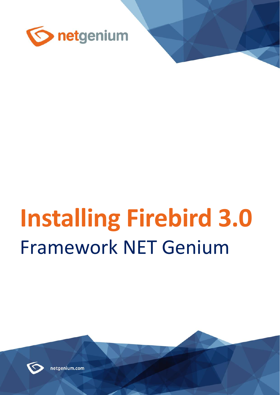

# **Installing Firebird 3.0** Framework NET Genium



netgenium.com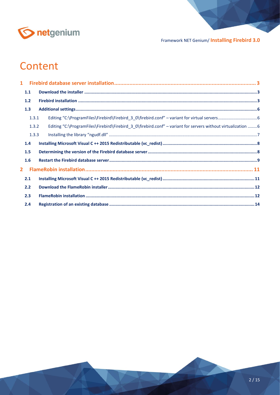

# Content

| $\mathbf{1}$   |       |                                                                                                              |  |
|----------------|-------|--------------------------------------------------------------------------------------------------------------|--|
|                | 1.1   |                                                                                                              |  |
|                | 1.2   |                                                                                                              |  |
|                | 1.3   |                                                                                                              |  |
|                | 1.3.1 |                                                                                                              |  |
|                | 1.3.2 | Editing "C:\ProgramFiles\Firebird\Firebird 3 0\firebird.conf" - variant for servers without virtualization 6 |  |
|                | 1.3.3 |                                                                                                              |  |
|                | 1.4   |                                                                                                              |  |
|                | 1.5   |                                                                                                              |  |
|                | 1.6   |                                                                                                              |  |
| $\overline{2}$ |       |                                                                                                              |  |
|                | 2.1   |                                                                                                              |  |
|                | 2.2   |                                                                                                              |  |
|                | 2.3   |                                                                                                              |  |
|                | 2.4   |                                                                                                              |  |
|                |       |                                                                                                              |  |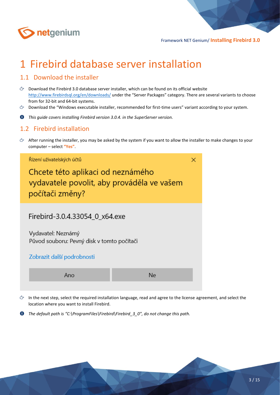

# <span id="page-2-0"></span>1 Firebird database server installation

### <span id="page-2-1"></span>1.1 Download the installer

- $\circled{c}$  Download the Firebird 3.0 database server installer, which can be found on its official website <http://www.firebirdsql.org/en/downloads/> under the "Server Packages" category. There are several variants to choose from for 32-bit and 64-bit systems.
- Download the "Windows executable installer, recommended for first-time users" variant according to your system.
- $\bullet$ *This guide covers installing Firebird version 3.0.4. in the SuperServer version.*

#### <span id="page-2-2"></span>1.2 Firebird installation

 $\Diamond$  After running the installer, you may be asked by the system if you want to allow the installer to make changes to your computer – select **"Yes"**.



- In the next step, select the required installation language, read and agree to the license agreement, and select the location where you want to install Firebird.
- 0 *The default path is "C:\ProgramFiles\Firebird\Firebird\_3\_0", do not change this path.*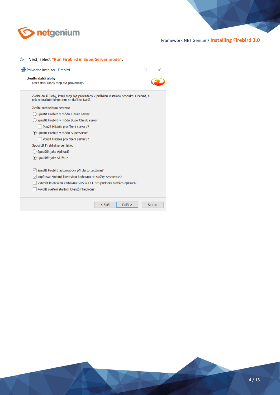

|  | Next, select "Run Firebird in SuperServer mode". |  |  |  |
|--|--------------------------------------------------|--|--|--|
|--|--------------------------------------------------|--|--|--|

| Průvodce instalací - Firebird                                                                                                        |        |           |               | $\times$ |
|--------------------------------------------------------------------------------------------------------------------------------------|--------|-----------|---------------|----------|
| Zvolte další úlohy<br>Které další úlohy mají být provedeny?                                                                          |        |           |               |          |
| Zvolte další úlohy, které mají být provedeny v průběhu instalace produktu Firebird, a<br>pak pokračujte klepnutím na tlačítko Další. |        |           |               |          |
| Zvolte architekturu serveru:                                                                                                         |        |           |               |          |
| Spustit Firebird v módu Classic server                                                                                               |        |           |               |          |
| Spustit Firebird v módu SuperClassic server                                                                                          |        |           |               |          |
| Použít Hlídače pro řízení serveru?                                                                                                   |        |           |               |          |
| ◉ Spustit Firebird v módu SuperServer                                                                                                |        |           |               |          |
| Použít Hlídače pro řízení serveru?                                                                                                   |        |           |               |          |
| Spouštět Firebird server jako:                                                                                                       |        |           |               |          |
| Spouštět jako Aplikaci?                                                                                                              |        |           |               |          |
| ● Spouštět jako Službu?                                                                                                              |        |           |               |          |
| √ Spustit Firebird automaticky při startu systému?                                                                                   |        |           |               |          |
| √ Kopírovat Firebird klientskou knihovnu do složky <system>?</system>                                                                |        |           |               |          |
| Vytvořit klientskou knihovnu GDS32.DLL pro podporu starších aplikací?                                                                |        |           |               |          |
| Povolit ověření starších klientů Firebirdu?                                                                                          |        |           |               |          |
|                                                                                                                                      | < Zpět | $Další$ > | <b>Storno</b> |          |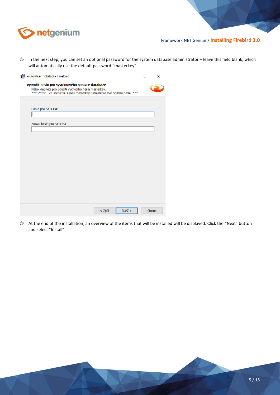

 $\Diamond$  In the next step, you can set an optional password for the system database administrator – leave this field blank, which will automatically use the default password "masterkey".

| Průvodce instalací - Firebird                                                                                                                                                          |            | $\times$                   |
|----------------------------------------------------------------------------------------------------------------------------------------------------------------------------------------|------------|----------------------------|
| Vytvořit heslo pro systémového správce databáze<br>Nebo klepněte pro použití výchozího hesla masterkey.<br>*** Pozor - ve Firebirdu 3 jsou masterkey a masterke dvě odlišná hesla. *** |            | $\mathcal{L}^{\text{max}}$ |
| Heslo pro SYSDBA:                                                                                                                                                                      |            |                            |
|                                                                                                                                                                                        |            |                            |
| Znovu heslo pro SYSDBA:                                                                                                                                                                |            |                            |
|                                                                                                                                                                                        |            |                            |
|                                                                                                                                                                                        |            |                            |
|                                                                                                                                                                                        |            |                            |
|                                                                                                                                                                                        |            |                            |
|                                                                                                                                                                                        |            |                            |
|                                                                                                                                                                                        |            |                            |
|                                                                                                                                                                                        |            |                            |
|                                                                                                                                                                                        |            |                            |
|                                                                                                                                                                                        |            |                            |
|                                                                                                                                                                                        |            |                            |
| < Zpět                                                                                                                                                                                 | $D$ alší > | <b>Storno</b>              |
|                                                                                                                                                                                        |            |                            |

At the end of the installation, an overview of the items that will be installed will be displayed. Click the "Next" button and select "Install".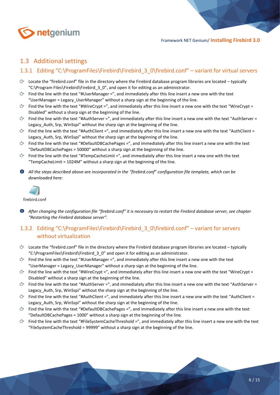

## <span id="page-5-0"></span>1.3 Additional settings

#### <span id="page-5-1"></span>1.3.1 Editing "C:\ProgramFiles\Firebird\Firebird 3 0\firebird.conf" – variant for virtual servers

- $\circled{c}$  Locate the "firebird.conf" file in the directory where the Firebird database program libraries are located typically "C:\Program Files\Firebird\Firebird\_3\_0", and open it for editing as an administrator.
- $\circled{r}$  Find the line with the text "#UserManager =", and immediately after this line insert a new one with the text "UserManager = Legacy\_UserManager" without a sharp sign at the beginning of the line.
- Find the line with the text "#WireCrypt =", and immediately after this line insert a new one with the text "WireCrypt = Disabled" without a sharp sign at the beginning of the line.
- Find the line with the text "#AuthServer =", and immediately after this line insert a new one with the text "AuthServer = Legacy\_Auth, Srp, WinSspi" without the sharp sign at the beginning of the line.
- $\Diamond$  Find the line with the text "#AuthClient =", and immediately after this line insert a new one with the text "AuthClient = Legacy Auth, Srp, WinSspi" without the sharp sign at the beginning of the line.
- $\circ$  Find the line with the text "#DefaultDBCachePages =", and immediately after this line insert a new one with the text "DefaultDBCachePages = 50000" without a sharp sign at the beginning of the line.
- $\circled{r}$  Find the line with the text "#TempCacheLimit =", and immediately after this line insert a new one with the text "TempCacheLimit = 1024M" without a sharp sign at the beginning of the line.
- *All the steps described above are incorporated in the "firebird.conf" configuration file template, which can be downloaded here:*



firebird.conf

*After changing the configuration file "firebird.conf" it is necessary to restart the Firebird database server, see chapter "Restarting the Firebird database server".*

#### <span id="page-5-2"></span>1.3.2 Editing "C:\ProgramFiles\Firebird\Firebird 3 0\firebird.conf" – variant for servers without virtualization

- $\circled{c}$  Locate the "firebird.conf" file in the directory where the Firebird database program libraries are located typically "C:\ProgramFiles\Firebird\Firebird\_3\_0" and open it for editing as an administrator.
- $\circled{r}$  Find the line with the text "#UserManager =", and immediately after this line insert a new one with the text "UserManager = Legacy\_UserManager" without a sharp sign at the beginning of the line.
- $\degree$  Find the line with the text "#WireCrypt =", and immediately after this line insert a new one with the text "WireCrypt = Disabled" without a sharp sign at the beginning of the line.
- $\circled{r}$  Find the line with the text "#AuthServer =", and immediately after this line insert a new one with the text "AuthServer = Legacy Auth, Srp, WinSspi" without the sharp sign at the beginning of the line.
- Find the line with the text "#AuthClient =", and immediately after this line insert a new one with the text "AuthClient = Legacy Auth, Srp, WinSspi" without the sharp sign at the beginning of the line.
- $\circled{r}$  Find the line with the text "#DefaultDBCachePages =", and immediately after this line insert a new one with the text "DefaultDBCachePages = 1000" without a sharp sign at the beginning of the line.
- Find the line with the text "#FileSystemCacheThreshold =", and immediately after this line insert a new one with the text み "FileSystemCacheThreshold = 99999" without a sharp sign at the beginning of the line.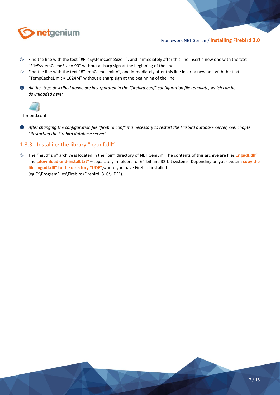

- $\circled{r}$  Find the line with the text "#FileSystemCacheSize =", and immediately after this line insert a new one with the text "FileSystemCacheSize = 90" without a sharp sign at the beginning of the line.
- $\Diamond$  Find the line with the text "#TempCacheLimit =", and immediately after this line insert a new one with the text "TempCacheLimit = 1024M" without a sharp sign at the beginning of the line.
- *All the steps described above are incorporated in the "firebird.conf" configuration file template, which can be downloaded here:*



firebird.conf

*After changing the configuration file "firebird.conf" it is necessary to restart the Firebird database server, see. chapter "Restarting the Firebird database server".*

#### <span id="page-6-0"></span>1.3.3 Installing the library "ngudf.dll"

 $\div$  The "ngudf.zip" archive is located in the "bin" directory of NET Genium. The contents of this archive are files "ngudf.dll" and "download-and-install.txt" – separately in folders for 64-bit and 32-bit systems. Depending on your system copy the **file "ngudf.dll" to the directory "UDF"**,where you have Firebird installed (eg C:\ProgramFiles\Firebird\Firebird\_3\_0\UDF").

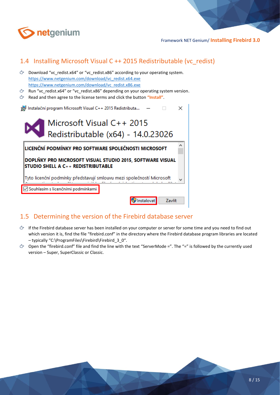

# <span id="page-7-0"></span>1.4 Installing Microsoft Visual C ++ 2015 Redistributable (vc\_redist)

- Download "vc\_redist.x64" or "vc\_redist.x86" according to your operating system. [https://www.netgenium.com/download/vc\\_redist.x64.exe](https://www.netgenium.com/download/vc_redist.x64.exe) [https://www.netgenium.com/download/vc\\_redist.x86.exe](https://www.netgenium.com/download/vc_redist.x86.exe)
- **C** Run "vc\_redist.x64" or "vc\_redist.x86" depending on your operating system version.
- Read and then agree to the license terms and click the button **"Install"**.

| Instalační program Microsoft Visual C++ 2015 Redistributa                                              |                                                                 |        |  |  |  |  |  |
|--------------------------------------------------------------------------------------------------------|-----------------------------------------------------------------|--------|--|--|--|--|--|
|                                                                                                        | Microsoft Visual C++ 2015<br>Redistributable (x64) - 14.0.23026 |        |  |  |  |  |  |
| LICENČNÍ PODMÍNKY PRO SOFTWARE SPOLEČNOSTI MICROSOFT                                                   |                                                                 |        |  |  |  |  |  |
| DOPLNKY PRO MICROSOFT VISUAL STUDIO 2015, SOFTWARE VISUAL<br><b>STUDIO SHELL A C++ REDISTRIBUTABLE</b> |                                                                 |        |  |  |  |  |  |
| Tyto licenční podmínky představují smlouvu mezi společností Microsoft                                  |                                                                 |        |  |  |  |  |  |
| √Souhlasím s licenčními podmínkami                                                                     |                                                                 |        |  |  |  |  |  |
|                                                                                                        | Instalovat                                                      | Zavřít |  |  |  |  |  |

# <span id="page-7-1"></span>1.5 Determining the version of the Firebird database server

- $\div$  If the Firebird database server has been installed on your computer or server for some time and you need to find out which version it is, find the file "firebird.conf" in the directory where the Firebird database program libraries are located – typically "C:\ProgramFiles\Firebird\Firebird\_3\_0".
- $\circledcirc$  Open the "firebird.conf" file and find the line with the text "ServerMode =". The "=" is followed by the currently used version – Super, SuperClassic or Classic.

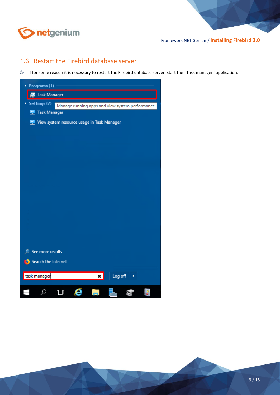

## <span id="page-8-0"></span>1.6 Restart the Firebird database server

If for some reason it is necessary to restart the Firebird database server, start the "Task manager" application.

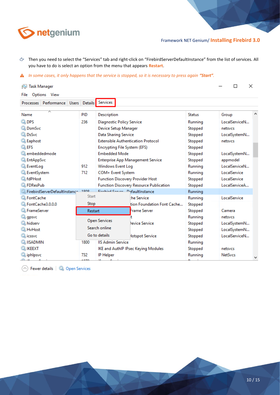

- Then you need to select the "Services" tab and right-click on "FirebirdServerDefaultInstance" from the list of services. All you have to do is select an option from the menu that appears **Restart**.
- **A** In some cases, it only happens that the service is stopped, so it is necessary to press again "Start".

| <b>Task Manager</b><br>∾                                      |         |                                                |                                           |               | ×<br>п         |  |
|---------------------------------------------------------------|---------|------------------------------------------------|-------------------------------------------|---------------|----------------|--|
| Options View<br>File<br>Processes Performance<br><b>Users</b> |         | Details Services                               |                                           |               |                |  |
|                                                               |         |                                                |                                           |               |                |  |
| Name                                                          | PID     | Description                                    |                                           | <b>Status</b> | Group          |  |
| <b>Q</b> DPS                                                  | 236     | Diagnostic Policy Service                      |                                           | Running       | LocalServiceN  |  |
| <b>Ok</b> DsmSvc                                              |         | Device Setup Manager                           |                                           | Stopped       | netsvcs        |  |
| <b>O</b> DsSvc                                                |         | Data Sharing Service                           |                                           | Stopped       | LocalSystemN   |  |
| <b>Q Eaphost</b>                                              |         |                                                | <b>Extensible Authentication Protocol</b> | Stopped       | netsycs        |  |
| <b>Q</b> EFS                                                  |         |                                                | Encrypting File System (EFS)              | Stopped       |                |  |
| <b>Combeddedmode</b>                                          |         | <b>Embedded Mode</b>                           |                                           | Stopped       | LocalSystemN   |  |
| <b>C.</b> EntAppSvc                                           |         | <b>Enterprise App Management Service</b>       |                                           | Stopped       | appmodel       |  |
| <b>C</b> EventLog                                             | 912     | Windows Event Log                              |                                           | Running       | LocalServiceN  |  |
| <b>C</b> EventSystem                                          | 712     | COM+ Event System                              |                                           | Running       | LocalService   |  |
| <b>K</b> fdPHost                                              |         | <b>Function Discovery Provider Host</b>        |                                           | Stopped       | LocalService   |  |
| <b>W</b> FDResPub                                             |         | <b>Function Discovery Resource Publication</b> |                                           | Stopped       | LocalServiceA  |  |
| FirebirdServerDefaultInstance                                 | 1000    |                                                | Firebird Conser DefaultInstance           | Running       |                |  |
| <b>Sk FontCache</b>                                           | Start   |                                                | the Service                               | Running       | LocalService   |  |
| FontCache3.0.0.0                                              | Stop    |                                                | tion Foundation Font Cache                | Stopped       |                |  |
| <b>Exercise</b>                                               | Restart |                                                | Frame Server                              | Stopped       | Camera         |  |
| <b>Q</b> gpsvc                                                |         |                                                |                                           | Running       | netsycs        |  |
| <b>Whidserv</b>                                               |         | <b>Open Services</b>                           | levice Service                            | Stopped       | LocalSystemN   |  |
| <b>K</b> HvHost                                               |         | Search online                                  |                                           | Stopped       | LocalSystemN   |  |
| <b>Q</b> icssvc                                               |         | Go to details                                  | <b>lotspot Service</b>                    | Stopped       | LocalServiceN  |  |
| <b>WE IISADMIN</b>                                            | 1800    | <b>IIS Admin Service</b>                       |                                           | Running       |                |  |
| <b>A IKEEXT</b>                                               |         |                                                | IKE and AuthIP IPsec Keying Modules       | Stopped       | netsycs        |  |
| iphlpsyc                                                      | 732     | <b>IP Helper</b>                               |                                           | Running       | <b>NetSvcs</b> |  |

Rewer details | C Open Services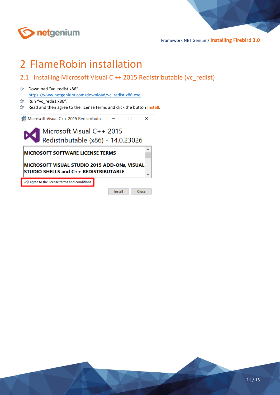

# <span id="page-10-0"></span>2 FlameRobin installation

- <span id="page-10-1"></span>2.1 Installing Microsoft Visual C ++ 2015 Redistributable (vc\_redist)
- Download "vc\_redist.x86". [https://www.netgenium.com/download/vc\\_redist.x86.exe](https://www.netgenium.com/download/vc_redist.x86.exe)
- $C$  Run "vc\_redist.x86".
- Read and then agree to the license terms and click the button **Install**.



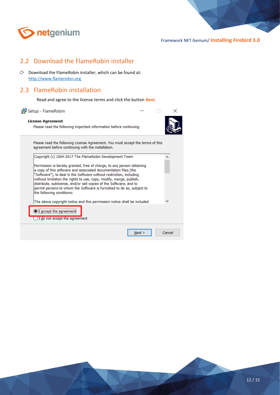

# <span id="page-11-0"></span>2.2 Download the FlameRobin installer

 $\circlearrowright$  Download the FlameRobin installer, which can be found at: [http://www.flamerobin.org](http://www.flamerobin.org/)

#### <span id="page-11-1"></span>2.3 FlameRobin installation

OI accept the agreement ◯ I do not accept the agreement

Read and agree to the license terms and click the button **Next**.

| Setup - FlameRobin                                                                                                                                                                                                                                                                                                                                                                                                                                                 |  |  |   |  |  |
|--------------------------------------------------------------------------------------------------------------------------------------------------------------------------------------------------------------------------------------------------------------------------------------------------------------------------------------------------------------------------------------------------------------------------------------------------------------------|--|--|---|--|--|
| <b>License Agreement</b><br>Please read the following important information before continuing.                                                                                                                                                                                                                                                                                                                                                                     |  |  |   |  |  |
| Please read the following License Agreement. You must accept the terms of this<br>agreement before continuing with the installation.                                                                                                                                                                                                                                                                                                                               |  |  |   |  |  |
| Copyright (c) 2004-2017 The FlameRobin Development Team                                                                                                                                                                                                                                                                                                                                                                                                            |  |  | ^ |  |  |
| Permission is hereby granted, free of charge, to any person obtaining<br>a copy of this software and associated documentation files (the<br>"Software"), to deal in the Software without restriction, including<br>without limitation the rights to use, copy, modify, merge, publish,<br>distribute, sublicense, and/or sell copies of the Software, and to<br>permit persons to whom the Software is furnished to do so, subject to<br>the following conditions: |  |  |   |  |  |

 $N$ ext >

Cancel

The above copyright notice and this permission notice shall be included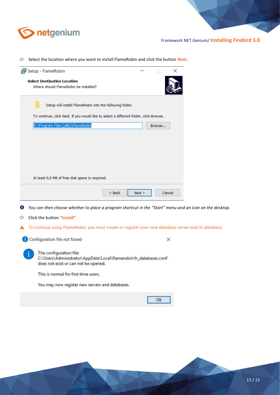

Select the location where you want to install FlameRobin and click the button **Next**.

|   | <b>B</b> Setup - FlameRobin                                                                               |          |        |        | x |  |
|---|-----------------------------------------------------------------------------------------------------------|----------|--------|--------|---|--|
|   | <b>Select Destination Location</b>                                                                        |          |        |        |   |  |
|   | Where should FlameRobin be installed?                                                                     |          |        |        |   |  |
|   |                                                                                                           |          |        |        |   |  |
|   | Setup will install FlameRobin into the following folder.                                                  |          |        |        |   |  |
|   |                                                                                                           |          |        |        |   |  |
|   | To continue, click Next. If you would like to select a different folder, click Browse.                    |          |        |        |   |  |
|   | C:\Program Files (x86)\FlameRobin                                                                         |          |        | Browse |   |  |
|   |                                                                                                           |          |        |        |   |  |
|   |                                                                                                           |          |        |        |   |  |
|   |                                                                                                           |          |        |        |   |  |
|   |                                                                                                           |          |        |        |   |  |
|   |                                                                                                           |          |        |        |   |  |
|   |                                                                                                           |          |        |        |   |  |
|   | At least 0,9 MB of free disk space is required.                                                           |          |        |        |   |  |
|   |                                                                                                           |          |        |        |   |  |
|   |                                                                                                           | $<$ Back | Next > | Cancel |   |  |
|   |                                                                                                           |          |        |        |   |  |
| υ | You can then choose whether to place a program shortcut in the "Start" menu and an icon on the desktop.   |          |        |        |   |  |
|   |                                                                                                           |          |        |        |   |  |
| ඌ | Click the button "Install"                                                                                |          |        |        |   |  |
| A | To continue using FlameRobin, you must create or register your new database server and its database.      |          |        |        |   |  |
|   |                                                                                                           |          |        |        |   |  |
|   | Configuration file not found                                                                              |          |        | ×      |   |  |
|   |                                                                                                           |          |        |        |   |  |
|   | The configuration file:                                                                                   |          |        |        |   |  |
|   | C:\Users\Administrator\AppData\Local\flamerobin\fr_databases.conf<br>does not exist or can not be opened. |          |        |        |   |  |
|   |                                                                                                           |          |        |        |   |  |
|   | This is normal for first time users.                                                                      |          |        |        |   |  |
|   | You may now register new servers and databases.                                                           |          |        |        |   |  |
|   |                                                                                                           |          |        |        |   |  |
|   |                                                                                                           |          |        | ок     |   |  |
|   |                                                                                                           |          |        |        |   |  |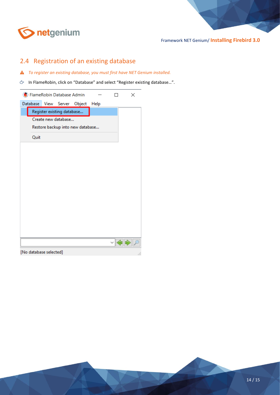

# <span id="page-13-0"></span>2.4 Registration of an existing database

- *To register an existing database, you must first have NET Genium installed.*
- In FlameRobin, click on "Database" and select "Register existing database…".